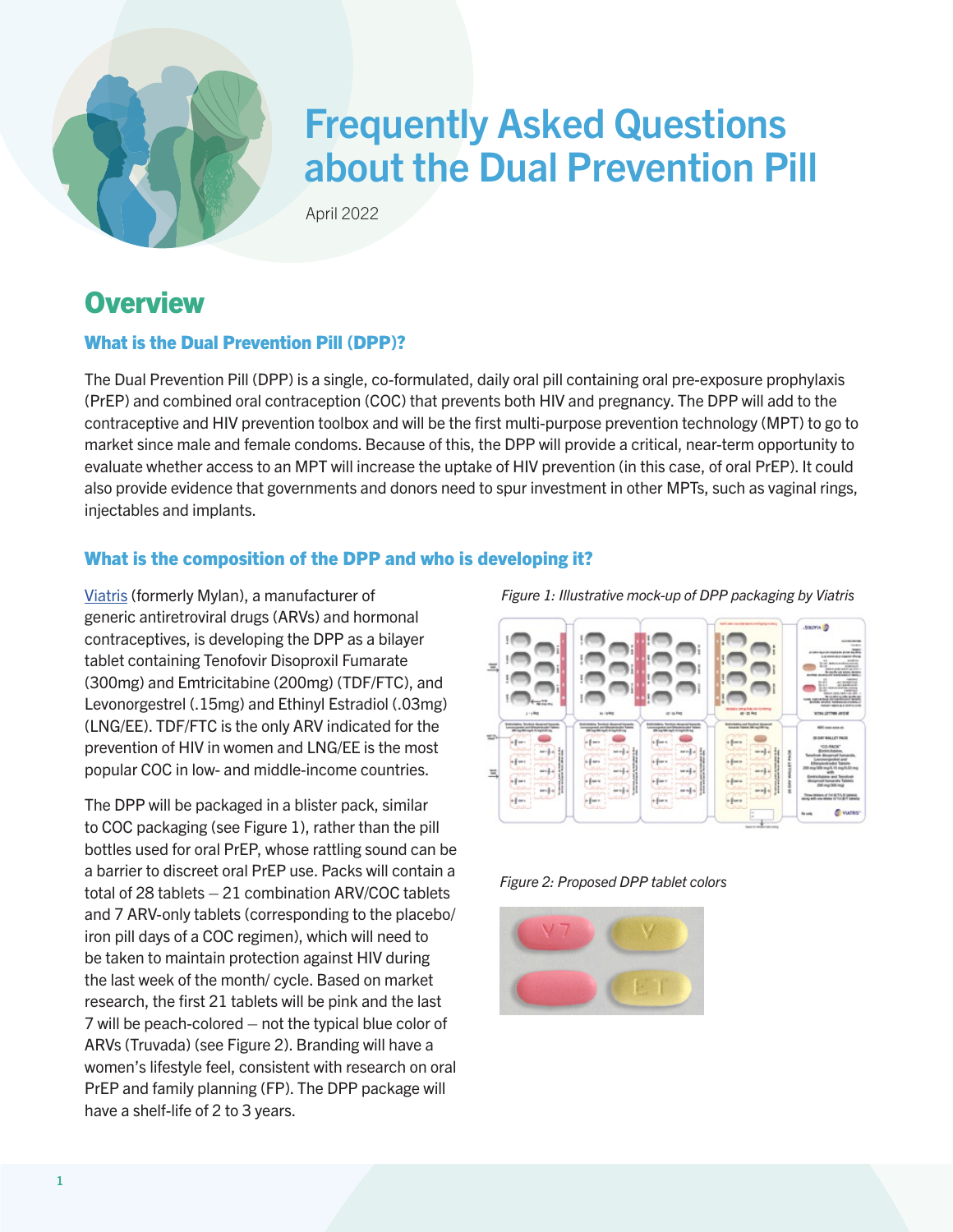

# Frequently Asked Questions about the Dual Prevention Pill

April 2022

# **Overview**

#### What is the Dual Prevention Pill (DPP)?

The Dual Prevention Pill (DPP) is a single, co-formulated, daily oral pill containing oral pre-exposure prophylaxis (PrEP) and combined oral contraception (COC) that prevents both HIV and pregnancy. The DPP will add to the contraceptive and HIV prevention toolbox and will be the first multi-purpose prevention technology (MPT) to go to market since male and female condoms. Because of this, the DPP will provide a critical, near-term opportunity to evaluate whether access to an MPT will increase the uptake of HIV prevention (in this case, of oral PrEP). It could also provide evidence that governments and donors need to spur investment in other MPTs, such as vaginal rings, injectables and implants.

#### What is the composition of the DPP and who is developing it?

[Viatris](https://www.viatris.com/en) (formerly Mylan), a manufacturer of generic antiretroviral drugs (ARVs) and hormonal contraceptives, is developing the DPP as a bilayer tablet containing Tenofovir Disoproxil Fumarate (300mg) and Emtricitabine (200mg) (TDF/FTC), and Levonorgestrel (.15mg) and Ethinyl Estradiol (.03mg) (LNG/EE). TDF/FTC is the only ARV indicated for the prevention of HIV in women and LNG/EE is the most popular COC in low- and middle-income countries.

The DPP will be packaged in a blister pack, similar to COC packaging (see Figure 1), rather than the pill bottles used for oral PrEP, whose rattling sound can be a barrier to discreet oral PrEP use. Packs will contain a total of 28 tablets – 21 combination ARV/COC tablets and 7 ARV-only tablets (corresponding to the placebo/ iron pill days of a COC regimen), which will need to be taken to maintain protection against HIV during the last week of the month/ cycle. Based on market research, the first 21 tablets will be pink and the last 7 will be peach-colored – not the typical blue color of ARVs (Truvada) (see Figure 2). Branding will have a women's lifestyle feel, consistent with research on oral PrEP and family planning (FP). The DPP package will have a shelf-life of 2 to 3 years.

*Figure 1: Illustrative mock-up of DPP packaging by Viatris*





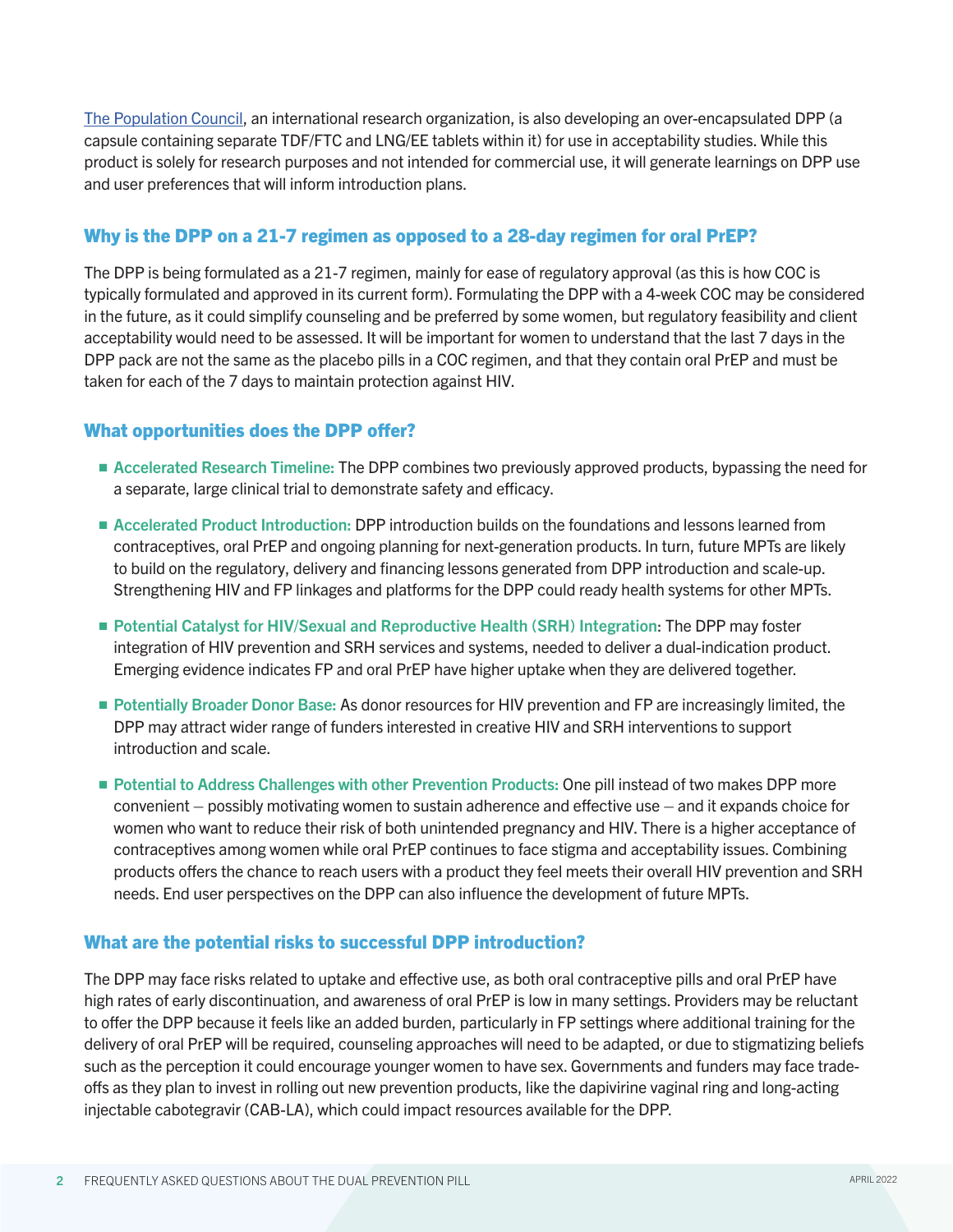[The Population Council](https://www.popcouncil.org/), an international research organization, is also developing an over-encapsulated DPP (a capsule containing separate TDF/FTC and LNG/EE tablets within it) for use in acceptability studies. While this product is solely for research purposes and not intended for commercial use, it will generate learnings on DPP use and user preferences that will inform introduction plans.

#### Why is the DPP on a 21-7 regimen as opposed to a 28-day regimen for oral PrEP?

The DPP is being formulated as a 21-7 regimen, mainly for ease of regulatory approval (as this is how COC is typically formulated and approved in its current form). Formulating the DPP with a 4-week COC may be considered in the future, as it could simplify counseling and be preferred by some women, but regulatory feasibility and client acceptability would need to be assessed. It will be important for women to understand that the last 7 days in the DPP pack are not the same as the placebo pills in a COC regimen, and that they contain oral PrEP and must be taken for each of the 7 days to maintain protection against HIV.

#### What opportunities does the DPP offer?

- **E** Accelerated Research Timeline: The DPP combines two previously approved products, bypassing the need for a separate, large clinical trial to demonstrate safety and efficacy.
- **E** Accelerated Product Introduction: DPP introduction builds on the foundations and lessons learned from contraceptives, oral PrEP and ongoing planning for next-generation products. In turn, future MPTs are likely to build on the regulatory, delivery and financing lessons generated from DPP introduction and scale-up. Strengthening HIV and FP linkages and platforms for the DPP could ready health systems for other MPTs.
- Potential Catalyst for HIV/Sexual and Reproductive Health (SRH) Integration: The DPP may foster integration of HIV prevention and SRH services and systems, needed to deliver a dual-indication product. Emerging evidence indicates FP and oral PrEP have higher uptake when they are delivered together.
- Potentially Broader Donor Base: As donor resources for HIV prevention and FP are increasingly limited, the DPP may attract wider range of funders interested in creative HIV and SRH interventions to support introduction and scale.
- **Potential to Address Challenges with other Prevention Products: One pill instead of two makes DPP more** convenient – possibly motivating women to sustain adherence and effective use – and it expands choice for women who want to reduce their risk of both unintended pregnancy and HIV. There is a higher acceptance of contraceptives among women while oral PrEP continues to face stigma and acceptability issues. Combining products offers the chance to reach users with a product they feel meets their overall HIV prevention and SRH needs. End user perspectives on the DPP can also influence the development of future MPTs.

#### What are the potential risks to successful DPP introduction?

The DPP may face risks related to uptake and effective use, as both oral contraceptive pills and oral PrEP have high rates of early discontinuation, and awareness of oral PrEP is low in many settings. Providers may be reluctant to offer the DPP because it feels like an added burden, particularly in FP settings where additional training for the delivery of oral PrEP will be required, counseling approaches will need to be adapted, or due to stigmatizing beliefs such as the perception it could encourage younger women to have sex. Governments and funders may face tradeoffs as they plan to invest in rolling out new prevention products, like the dapivirine vaginal ring and long-acting injectable cabotegravir (CAB-LA), which could impact resources available for the DPP.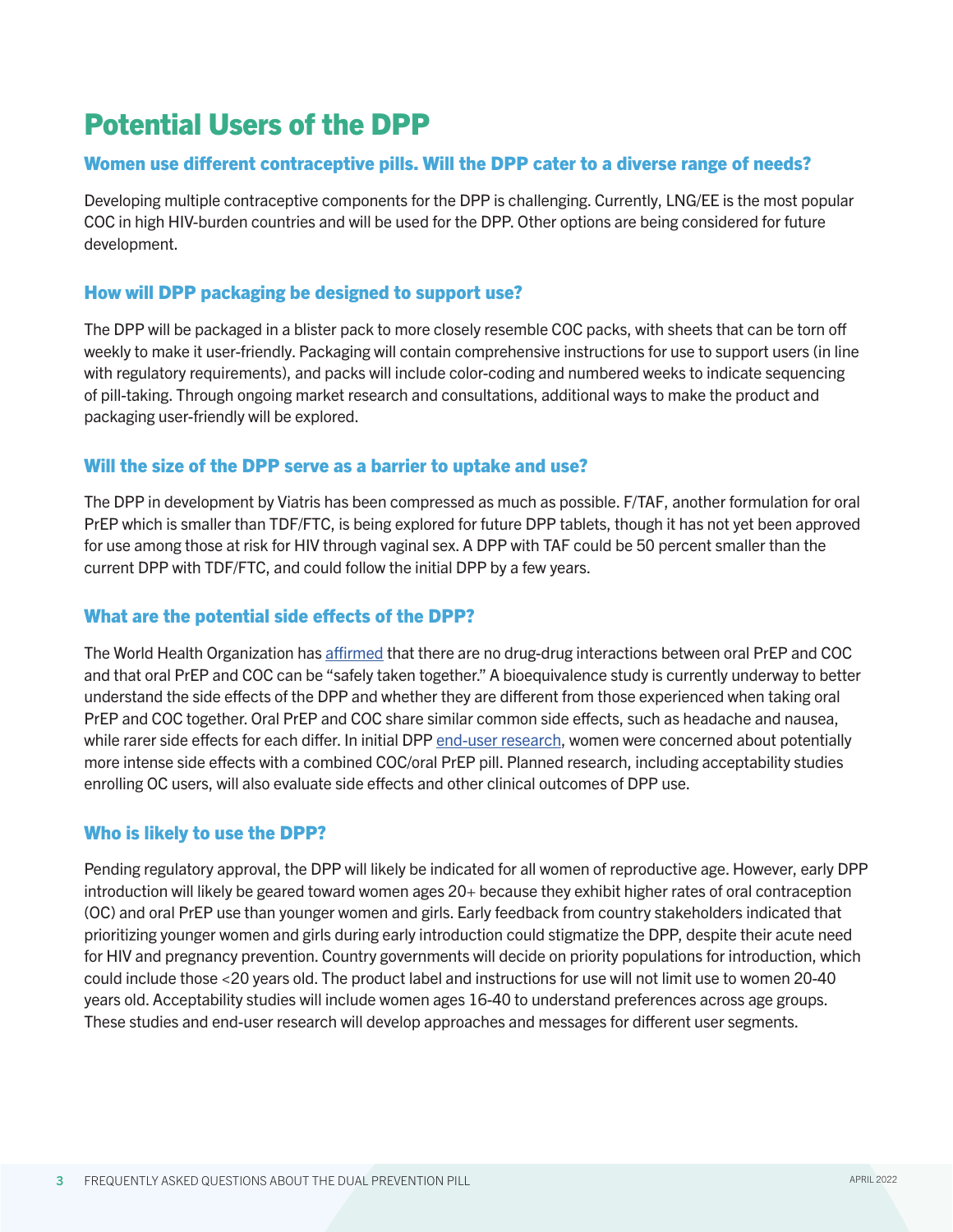# Potential Users of the DPP

#### Women use different contraceptive pills. Will the DPP cater to a diverse range of needs?

Developing multiple contraceptive components for the DPP is challenging. Currently, LNG/EE is the most popular COC in high HIV-burden countries and will be used for the DPP. Other options are being considered for future development.

#### How will DPP packaging be designed to support use?

The DPP will be packaged in a blister pack to more closely resemble COC packs, with sheets that can be torn off weekly to make it user-friendly. Packaging will contain comprehensive instructions for use to support users (in line with regulatory requirements), and packs will include color-coding and numbered weeks to indicate sequencing of pill-taking. Through ongoing market research and consultations, additional ways to make the product and packaging user-friendly will be explored.

#### Will the size of the DPP serve as a barrier to uptake and use?

The DPP in development by Viatris has been compressed as much as possible. F/TAF, another formulation for oral PrEP which is smaller than TDF/FTC, is being explored for future DPP tablets, though it has not yet been approved for use among those at risk for HIV through vaginal sex. A DPP with TAF could be 50 percent smaller than the current DPP with TDF/FTC, and could follow the initial DPP by a few years.

#### What are the potential side effects of the DPP?

The World Health Organization has [affirmed](chrome-extension://efaidnbmnnnibpcajpcglclefindmkaj/viewer.html?pdfurl=http%3A%2F%2Fapps.who.int%2Firis%2Fbitstream%2Fhandle%2F10665%2F255889%2FWHO-HIV-2017.17-eng.pdf%3Fsequence%3D1&clen=3502695&chunk=true) that there are no drug-drug interactions between oral PrEP and COC and that oral PrEP and COC can be "safely taken together." A bioequivalence study is currently underway to better understand the side effects of the DPP and whether they are different from those experienced when taking oral PrEP and COC together. Oral PrEP and COC share similar common side effects, such as headache and nausea, while rarer side effects for each differ. In initial DPP [end-user research,](chrome-extension://efaidnbmnnnibpcajpcglclefindmkaj/viewer.html?pdfurl=https%3A%2F%2Fwww.prepwatch.org%2Fwp-content%2Fuploads%2F2021%2F08%2F2021_07_30-End-user-findings-summary_public.pdf&clen=3474254&chunk=true) women were concerned about potentially more intense side effects with a combined COC/oral PrEP pill. Planned research, including acceptability studies enrolling OC users, will also evaluate side effects and other clinical outcomes of DPP use.

#### Who is likely to use the DPP?

Pending regulatory approval, the DPP will likely be indicated for all women of reproductive age. However, early DPP introduction will likely be geared toward women ages 20+ because they exhibit higher rates of oral contraception (OC) and oral PrEP use than younger women and girls. Early feedback from country stakeholders indicated that prioritizing younger women and girls during early introduction could stigmatize the DPP, despite their acute need for HIV and pregnancy prevention. Country governments will decide on priority populations for introduction, which could include those <20 years old. The product label and instructions for use will not limit use to women 20-40 years old. Acceptability studies will include women ages 16-40 to understand preferences across age groups. These studies and end-user research will develop approaches and messages for different user segments.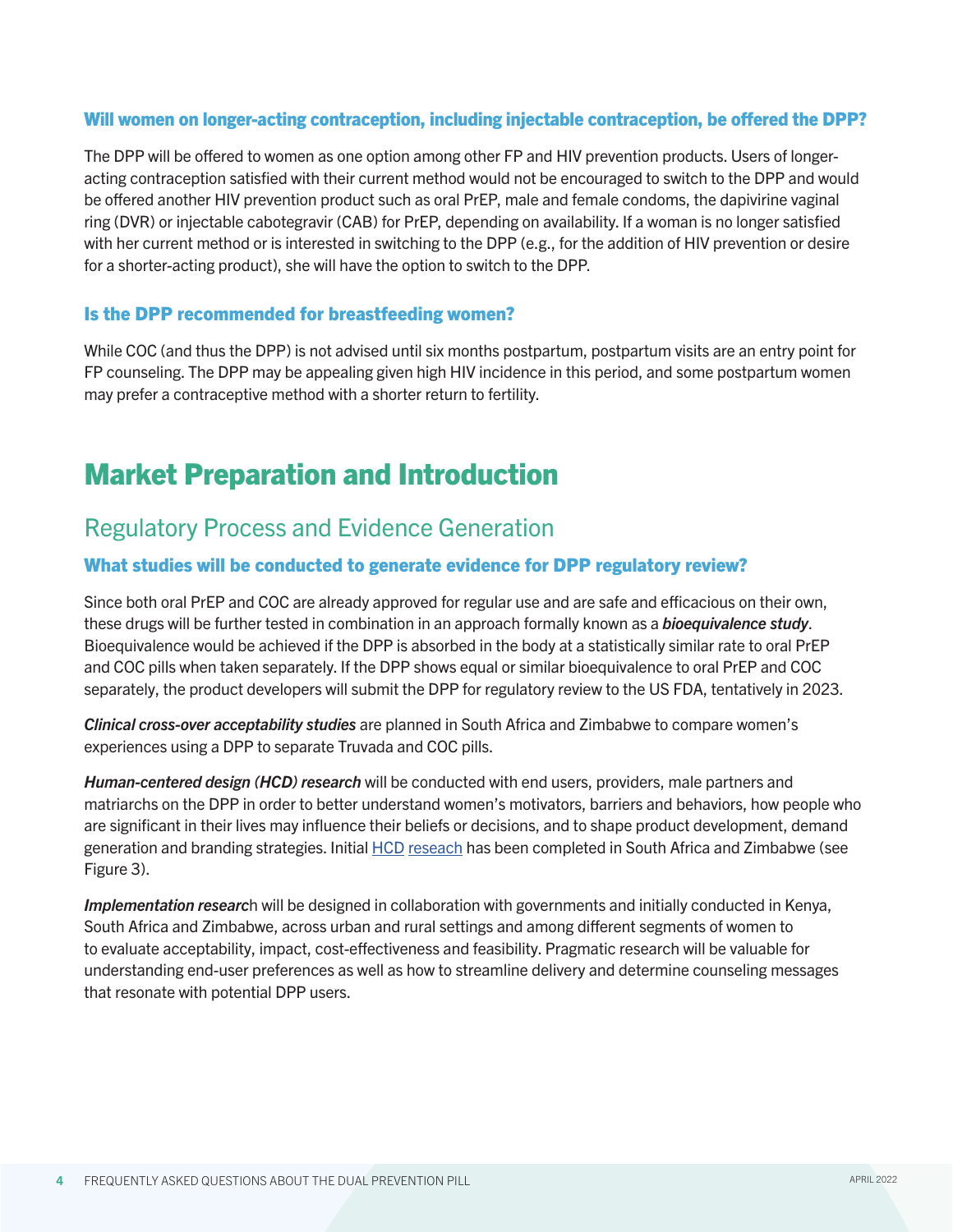#### Will women on longer-acting contraception, including injectable contraception, be offered the DPP?

The DPP will be offered to women as one option among other FP and HIV prevention products. Users of longeracting contraception satisfied with their current method would not be encouraged to switch to the DPP and would be offered another HIV prevention product such as oral PrEP, male and female condoms, the dapivirine vaginal ring (DVR) or injectable cabotegravir (CAB) for PrEP, depending on availability. If a woman is no longer satisfied with her current method or is interested in switching to the DPP (e.g., for the addition of HIV prevention or desire for a shorter-acting product), she will have the option to switch to the DPP.

#### Is the DPP recommended for breastfeeding women?

While COC (and thus the DPP) is not advised until six months postpartum, postpartum visits are an entry point for FP counseling. The DPP may be appealing given high HIV incidence in this period, and some postpartum women may prefer a contraceptive method with a shorter return to fertility.

# Market Preparation and Introduction

### Regulatory Process and Evidence Generation

#### What studies will be conducted to generate evidence for DPP regulatory review?

Since both oral PrEP and COC are already approved for regular use and are safe and efficacious on their own, these drugs will be further tested in combination in an approach formally known as a *bioequivalence study*. Bioequivalence would be achieved if the DPP is absorbed in the body at a statistically similar rate to oral PrEP and COC pills when taken separately. If the DPP shows equal or similar bioequivalence to oral PrEP and COC separately, the product developers will submit the DPP for regulatory review to the US FDA, tentatively in 2023.

*Clinical cross-over acceptability studies* are planned in South Africa and Zimbabwe to compare women's experiences using a DPP to separate Truvada and COC pills.

*Human-centered design (HCD) research* will be conducted with end users, providers, male partners and matriarchs on the DPP in order to better understand women's motivators, barriers and behaviors, how people who are significant in their lives may influence their beliefs or decisions, and to shape product development, demand generation and branding strategies. Initial [HCD](https://www.prepwatch.org/wp-content/uploads/2021/08/2021_07_30-End-user-findings-summary_public.pdf) [reseach](https://www.prepwatch.org/wp-content/uploads/2021/08/2021_07_30-DPP-Eureka-workshop-recommendations_public.pdf) has been completed in South Africa and Zimbabwe (see Figure 3).

*Implementation researc*h will be designed in collaboration with governments and initially conducted in Kenya, South Africa and Zimbabwe, across urban and rural settings and among different segments of women to to evaluate acceptability, impact, cost-effectiveness and feasibility. Pragmatic research will be valuable for understanding end-user preferences as well as how to streamline delivery and determine counseling messages that resonate with potential DPP users.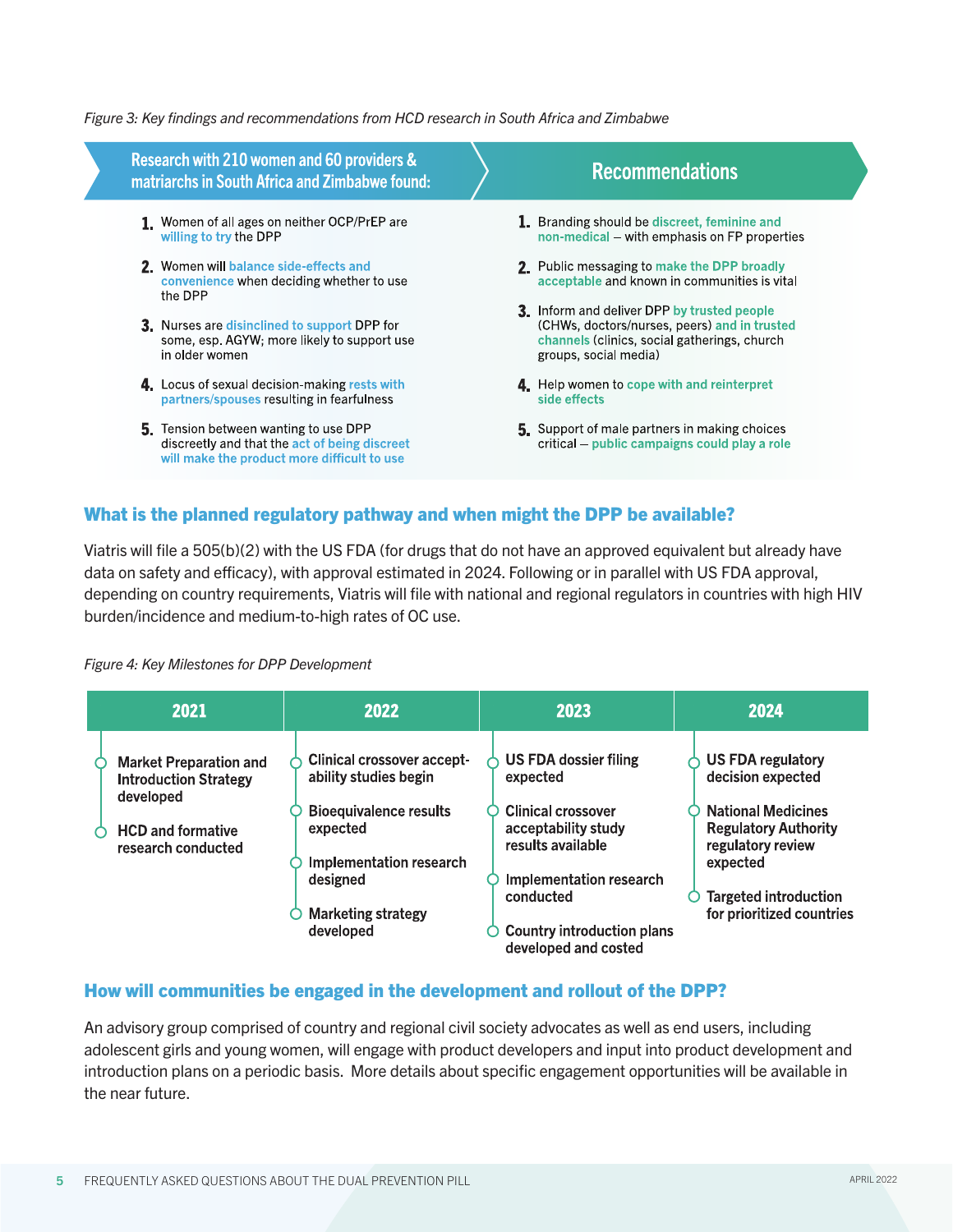#### *Figure 3: Key findings and recommendations from HCD research in South Africa and Zimbabwe*

| Research with 210 women and 60 providers &<br>matriarchs in South Africa and Zimbabwe found:                                          | <b>Recommendations</b>                                                                                                                                               |
|---------------------------------------------------------------------------------------------------------------------------------------|----------------------------------------------------------------------------------------------------------------------------------------------------------------------|
| 1. Women of all ages on neither OCP/PrEP are<br>willing to try the DPP                                                                | 1. Branding should be discreet, feminine and<br>non-medical – with emphasis on FP properties                                                                         |
| 2. Women will balance side-effects and<br>convenience when deciding whether to use<br>the DPP                                         | 2. Public messaging to make the DPP broadly<br>acceptable and known in communities is vital                                                                          |
| <b>3.</b> Nurses are disinclined to support DPP for<br>some, esp. AGYW; more likely to support use<br>in older women                  | 3. Inform and deliver DPP by trusted people<br>(CHWs, doctors/nurses, peers) and in trusted<br>channels (clinics, social gatherings, church<br>groups, social media) |
| 4. Locus of sexual decision-making rests with<br>partners/spouses resulting in fearfulness                                            | 4 Help women to cope with and reinterpret<br>side effects                                                                                                            |
| 5. Tension between wanting to use DPP<br>discreetly and that the act of being discreet<br>will make the product more difficult to use | 5. Support of male partners in making choices<br>critical – public campaigns could play a role                                                                       |

#### What is the planned regulatory pathway and when might the DPP be available?

Viatris will file a 505(b)(2) with the US FDA (for drugs that do not have an approved equivalent but already have data on safety and efficacy), with approval estimated in 2024. Following or in parallel with US FDA approval, depending on country requirements, Viatris will file with national and regional regulators in countries with high HIV burden/incidence and medium-to-high rates of OC use.

#### *Figure 4: Key Milestones for DPP Development*

Ζ

| 2021                                                                                                                         | 2022                                                                                                                                                                                     | 2023                                                                                                                                                                                                                   | 2024                                                                                                                                                                                                    |
|------------------------------------------------------------------------------------------------------------------------------|------------------------------------------------------------------------------------------------------------------------------------------------------------------------------------------|------------------------------------------------------------------------------------------------------------------------------------------------------------------------------------------------------------------------|---------------------------------------------------------------------------------------------------------------------------------------------------------------------------------------------------------|
| <b>Market Preparation and</b><br><b>Introduction Strategy</b><br>developed<br><b>HCD and formative</b><br>research conducted | <b>Clinical crossover accept-</b><br>ability studies begin<br><b>Bioequivalence results</b><br>expected<br>Implementation research<br>designed<br><b>Marketing strategy</b><br>developed | US FDA dossier filing<br>expected<br><b>Clinical crossover</b><br>acceptability study<br>results available<br><b>Implementation research</b><br>conducted<br><b>Country introduction plans</b><br>developed and costed | <b>US FDA regulatory</b><br>decision expected<br><b>National Medicines</b><br><b>Regulatory Authority</b><br>regulatory review<br>expected<br><b>Targeted introduction</b><br>for prioritized countries |

#### How will communities be engaged in the development and rollout of the DPP?

An advisory group comprised of country and regional civil society advocates as well as end users, including adolescent girls and young women, will engage with product developers and input into product development and introduction plans on a periodic basis. More details about specific engagement opportunities will be available in the near future.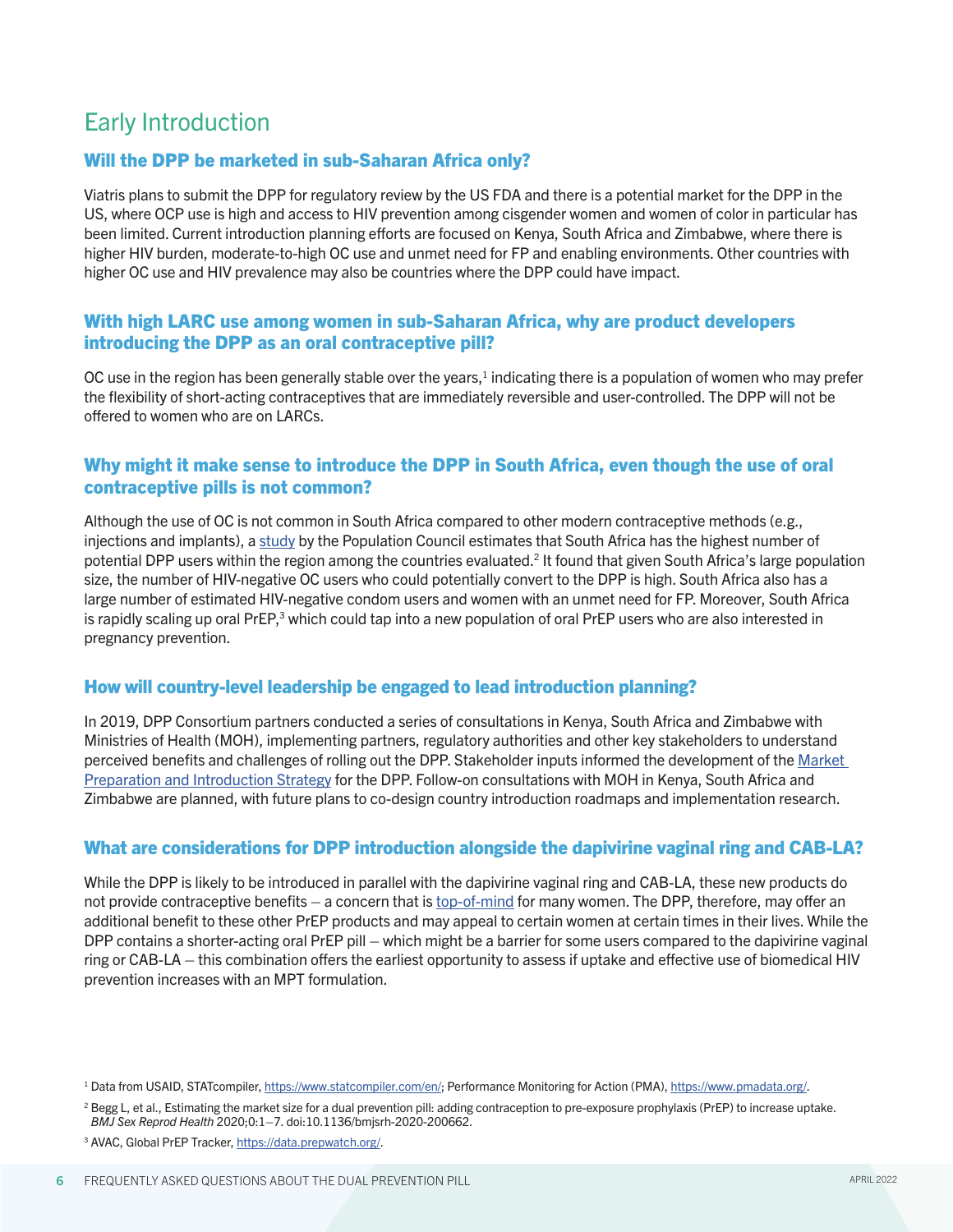## Early Introduction

#### Will the DPP be marketed in sub-Saharan Africa only?

Viatris plans to submit the DPP for regulatory review by the US FDA and there is a potential market for the DPP in the US, where OCP use is high and access to HIV prevention among cisgender women and women of color in particular has been limited. Current introduction planning efforts are focused on Kenya, South Africa and Zimbabwe, where there is higher HIV burden, moderate-to-high OC use and unmet need for FP and enabling environments. Other countries with higher OC use and HIV prevalence may also be countries where the DPP could have impact.

#### With high LARC use among women in sub-Saharan Africa, why are product developers introducing the DPP as an oral contraceptive pill?

OC use in the region has been generally stable over the years, $1$  indicating there is a population of women who may prefer the flexibility of short-acting contraceptives that are immediately reversible and user-controlled. The DPP will not be offered to women who are on LARCs.

#### Why might it make sense to introduce the DPP in South Africa, even though the use of oral contraceptive pills is not common?

Although the use of OC is not common in South Africa compared to other modern contraceptive methods (e.g., injections and implants), a [study](https://srh.bmj.com/content/47/3/166) by the Population Council estimates that South Africa has the highest number of potential DPP users within the region among the countries evaluated.<sup>2</sup> It found that given South Africa's large population size, the number of HIV-negative OC users who could potentially convert to the DPP is high. South Africa also has a large number of estimated HIV-negative condom users and women with an unmet need for FP. Moreover, South Africa is rapidly scaling up oral PrEP,<sup>3</sup> which could tap into a new population of oral PrEP users who are also interested in pregnancy prevention.

#### How will country-level leadership be engaged to lead introduction planning?

In 2019, DPP Consortium partners conducted a series of consultations in Kenya, South Africa and Zimbabwe with Ministries of Health (MOH), implementing partners, regulatory authorities and other key stakeholders to understand perceived benefits and challenges of rolling out the DPP. Stakeholder inputs informed the development of the [Market](chrome-extension://efaidnbmnnnibpcajpcglclefindmkaj/viewer.html?pdfurl=https%3A%2F%2Fwww.prepwatch.org%2Fwp-content%2Fuploads%2F2021%2F09%2FDPP-Market-Prep-and-Intro-Strategy.pdf&clen=1380943&chunk=true)  [Preparation and Introduction Strategy](chrome-extension://efaidnbmnnnibpcajpcglclefindmkaj/viewer.html?pdfurl=https%3A%2F%2Fwww.prepwatch.org%2Fwp-content%2Fuploads%2F2021%2F09%2FDPP-Market-Prep-and-Intro-Strategy.pdf&clen=1380943&chunk=true) for the DPP. Follow-on consultations with MOH in Kenya, South Africa and Zimbabwe are planned, with future plans to co-design country introduction roadmaps and implementation research.

#### What are considerations for DPP introduction alongside the dapivirine vaginal ring and CAB-LA?

While the DPP is likely to be introduced in parallel with the dapivirine vaginal ring and CAB-LA, these new products do not provide contraceptive benefits – a concern that is [top-of-mind](https://www.avac.org/sites/default/files/resource-files/Breaking_the_Cycle_AGYW_SA_Oct_2020.pdf) for many women. The DPP, therefore, may offer an additional benefit to these other PrEP products and may appeal to certain women at certain times in their lives. While the DPP contains a shorter-acting oral PrEP pill – which might be a barrier for some users compared to the dapivirine vaginal ring or CAB-LA – this combination offers the earliest opportunity to assess if uptake and effective use of biomedical HIV prevention increases with an MPT formulation.

<sup>&</sup>lt;sup>1</sup> Data from USAID, STATcompiler, [https://www.statcompiler.com/en/;](https://www.statcompiler.com/en/) Performance Monitoring for Action (PMA),<https://www.pmadata.org/>.

<sup>&</sup>lt;sup>2</sup> Begg L, et al., Estimating the market size for a dual prevention pill: adding contraception to pre-exposure prophylaxis (PrEP) to increase uptake. *BMJ Sex Reprod Health* 2020;0:1–7. doi:10.1136/bmjsrh-2020-200662.

<sup>3</sup> AVAC, Global PrEP Tracker,<https://data.prepwatch.org/>.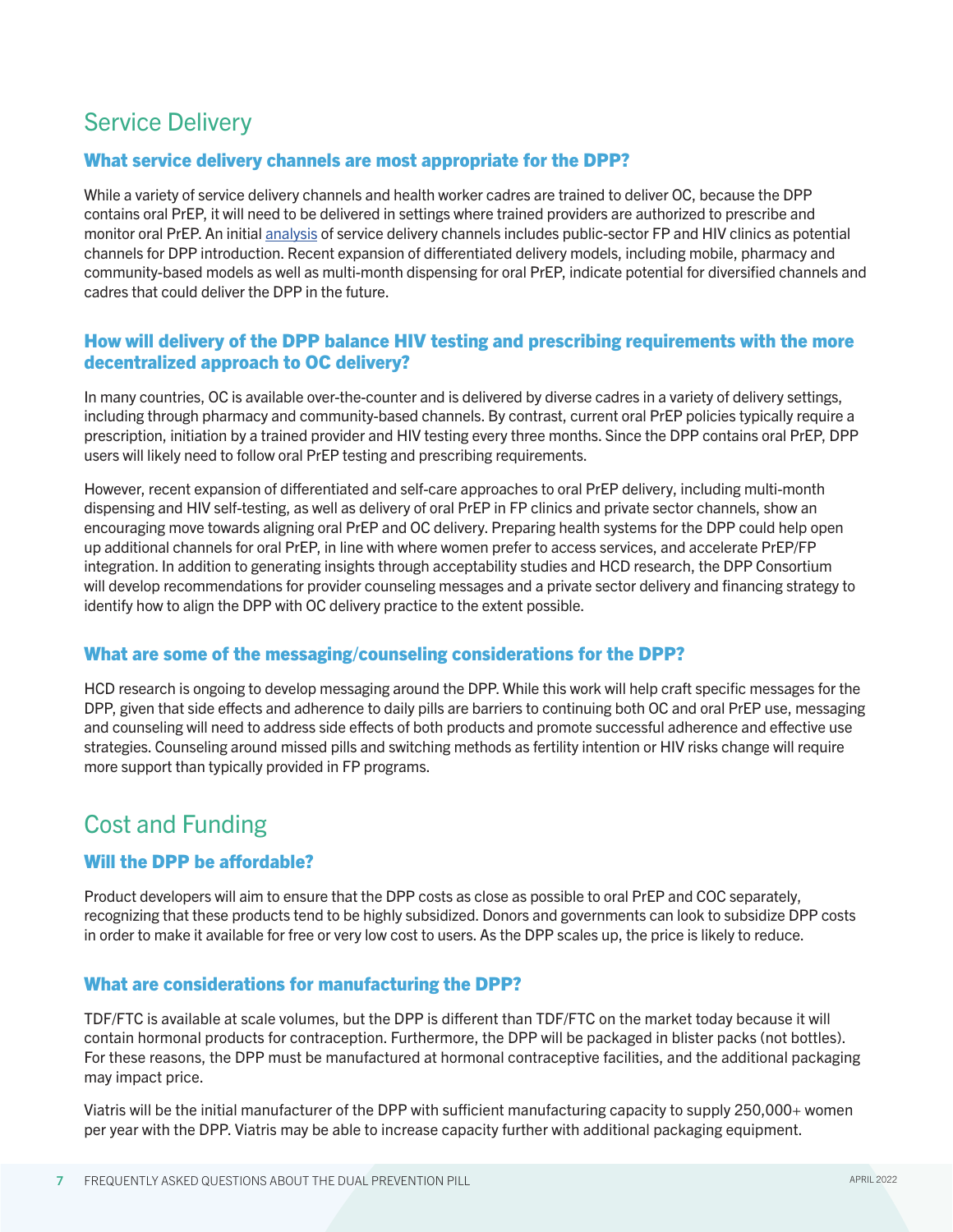### Service Delivery

#### What service delivery channels are most appropriate for the DPP?

While a variety of service delivery channels and health worker cadres are trained to deliver OC, because the DPP contains oral PrEP, it will need to be delivered in settings where trained providers are authorized to prescribe and monitor oral PrEP. An initial [analysis](https://www.prepwatch.org/wp-content/uploads/2021/08/2021_07_30-SD-Strategy_public-1.pdf) of service delivery channels includes public-sector FP and HIV clinics as potential channels for DPP introduction. Recent expansion of differentiated delivery models, including mobile, pharmacy and community-based models as well as multi-month dispensing for oral PrEP, indicate potential for diversified channels and cadres that could deliver the DPP in the future.

#### How will delivery of the DPP balance HIV testing and prescribing requirements with the more decentralized approach to OC delivery?

In many countries, OC is available over-the-counter and is delivered by diverse cadres in a variety of delivery settings, including through pharmacy and community-based channels. By contrast, current oral PrEP policies typically require a prescription, initiation by a trained provider and HIV testing every three months. Since the DPP contains oral PrEP, DPP users will likely need to follow oral PrEP testing and prescribing requirements.

However, recent expansion of differentiated and self-care approaches to oral PrEP delivery, including multi-month dispensing and HIV self-testing, as well as delivery of oral PrEP in FP clinics and private sector channels, show an encouraging move towards aligning oral PrEP and OC delivery. Preparing health systems for the DPP could help open up additional channels for oral PrEP, in line with where women prefer to access services, and accelerate PrEP/FP integration. In addition to generating insights through acceptability studies and HCD research, the DPP Consortium will develop recommendations for provider counseling messages and a private sector delivery and financing strategy to identify how to align the DPP with OC delivery practice to the extent possible.

#### What are some of the messaging/counseling considerations for the DPP?

HCD research is ongoing to develop messaging around the DPP. While this work will help craft specific messages for the DPP, given that side effects and adherence to daily pills are barriers to continuing both OC and oral PrEP use, messaging and counseling will need to address side effects of both products and promote successful adherence and effective use strategies. Counseling around missed pills and switching methods as fertility intention or HIV risks change will require more support than typically provided in FP programs.

### Cost and Funding

#### Will the DPP be affordable?

Product developers will aim to ensure that the DPP costs as close as possible to oral PrEP and COC separately, recognizing that these products tend to be highly subsidized. Donors and governments can look to subsidize DPP costs in order to make it available for free or very low cost to users. As the DPP scales up, the price is likely to reduce.

#### What are considerations for manufacturing the DPP?

TDF/FTC is available at scale volumes, but the DPP is different than TDF/FTC on the market today because it will contain hormonal products for contraception. Furthermore, the DPP will be packaged in blister packs (not bottles). For these reasons, the DPP must be manufactured at hormonal contraceptive facilities, and the additional packaging may impact price.

Viatris will be the initial manufacturer of the DPP with sufficient manufacturing capacity to supply 250,000+ women per year with the DPP. Viatris may be able to increase capacity further with additional packaging equipment.